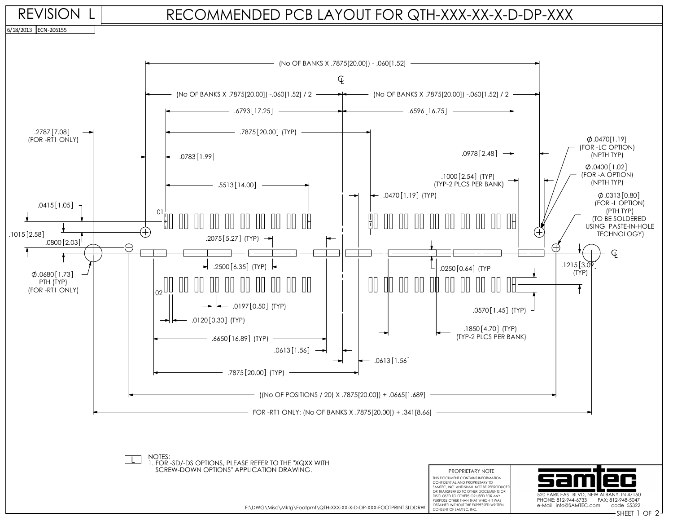## RECOMMENDED PCB LAYOUT FOR QTH-XXX-XX-X-D-DP-XXX



PURPOSE OTHER THAN THAT WHICH IT WAS

PHONE: 812-944-6733 FAX: 812-948-5047 e-Mail info@SAMTEC.com code 55322